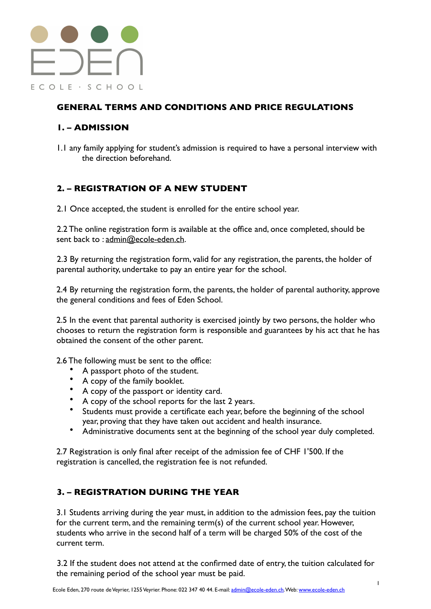

# **GENERAL TERMS AND CONDITIONS AND PRICE REGULATIONS**

# **1. – ADMISSION**

1.1 any family applying for student's admission is required to have a personal interview with the direction beforehand.

# **2. – REGISTRATION OF A NEW STUDENT**

2.1 Once accepted, the student is enrolled for the entire school year.

2.2 The online registration form is available at the office and, once completed, should be sent back to : [admin@ecole-eden.ch](mailto:admin@ecole-eden.ch).

2.3 By returning the registration form, valid for any registration, the parents, the holder of parental authority, undertake to pay an entire year for the school.

2.4 By returning the registration form, the parents, the holder of parental authority, approve the general conditions and fees of Eden School.

2.5 In the event that parental authority is exercised jointly by two persons, the holder who chooses to return the registration form is responsible and guarantees by his act that he has obtained the consent of the other parent.

2.6 The following must be sent to the office:

- A passport photo of the student.
- A copy of the family booklet.
- A copy of the passport or identity card.
- A copy of the school reports for the last 2 years.
- Students must provide a certificate each year, before the beginning of the school year, proving that they have taken out accident and health insurance.
- Administrative documents sent at the beginning of the school year duly completed.

2.7 Registration is only final after receipt of the admission fee of CHF 1'500. If the registration is cancelled, the registration fee is not refunded.

# **3. – REGISTRATION DURING THE YEAR**

3.1 Students arriving during the year must, in addition to the admission fees, pay the tuition for the current term, and the remaining term(s) of the current school year. However, students who arrive in the second half of a term will be charged 50% of the cost of the current term.

3.2 If the student does not attend at the confirmed date of entry, the tuition calculated for the remaining period of the school year must be paid.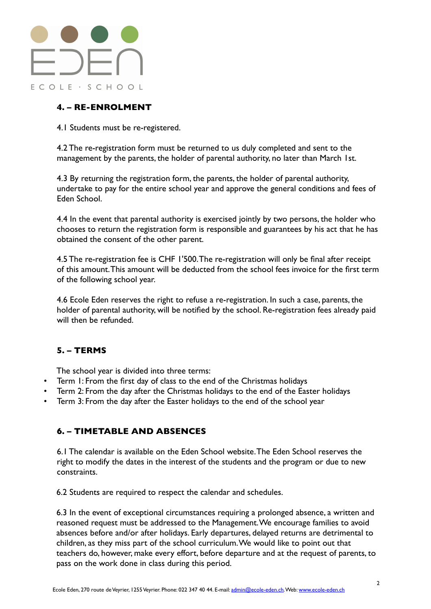

# **4. – RE-ENROLMENT**

4.1 Students must be re-registered.

4.2 The re-registration form must be returned to us duly completed and sent to the management by the parents, the holder of parental authority, no later than March 1st.

4.3 By returning the registration form, the parents, the holder of parental authority, undertake to pay for the entire school year and approve the general conditions and fees of Eden School.

4.4 In the event that parental authority is exercised jointly by two persons, the holder who chooses to return the registration form is responsible and guarantees by his act that he has obtained the consent of the other parent.

4.5 The re-registration fee is CHF 1'500. The re-registration will only be final after receipt of this amount. This amount will be deducted from the school fees invoice for the first term of the following school year.

4.6 Ecole Eden reserves the right to refuse a re-registration. In such a case, parents, the holder of parental authority, will be notified by the school. Re-registration fees already paid will then be refunded.

# **5. – TERMS**

The school year is divided into three terms:

- Term 1: From the first day of class to the end of the Christmas holidays
- Term 2: From the day after the Christmas holidays to the end of the Easter holidays
- Term 3: From the day after the Easter holidays to the end of the school year

#### **6. – TIMETABLE AND ABSENCES**

6.1 The calendar is available on the Eden School website. The Eden School reserves the right to modify the dates in the interest of the students and the program or due to new constraints.

6.2 Students are required to respect the calendar and schedules.

6.3 In the event of exceptional circumstances requiring a prolonged absence, a written and reasoned request must be addressed to the Management. We encourage families to avoid absences before and/or after holidays. Early departures, delayed returns are detrimental to children, as they miss part of the school curriculum. We would like to point out that teachers do, however, make every effort, before departure and at the request of parents, to pass on the work done in class during this period.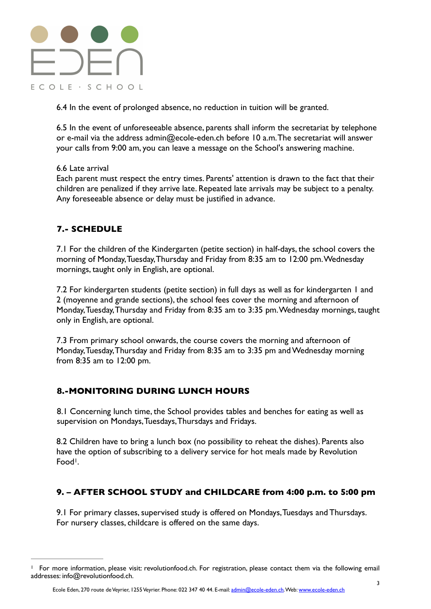

6.4 In the event of prolonged absence, no reduction in tuition will be granted.

6.5 In the event of unforeseeable absence, parents shall inform the secretariat by telephone or e-mail via the address admin@ecole-eden.ch before 10 a.m. The secretariat will answer your calls from 9:00 am, you can leave a message on the School's answering machine.

#### 6.6 Late arrival

Each parent must respect the entry times. Parents' attention is drawn to the fact that their children are penalized if they arrive late. Repeated late arrivals may be subject to a penalty. Any foreseeable absence or delay must be justified in advance.

# **7.- SCHEDULE**

7.1 For the children of the Kindergarten (petite section) in half-days, the school covers the morning of Monday, Tuesday, Thursday and Friday from 8:35 am to 12:00 pm. Wednesday mornings, taught only in English, are optional.

7.2 For kindergarten students (petite section) in full days as well as for kindergarten 1 and 2 (moyenne and grande sections), the school fees cover the morning and afternoon of Monday, Tuesday, Thursday and Friday from 8:35 am to 3:35 pm. Wednesday mornings, taught only in English, are optional.

7.3 From primary school onwards, the course covers the morning and afternoon of Monday, Tuesday, Thursday and Friday from 8:35 am to 3:35 pm and Wednesday morning from 8:35 am to 12:00 pm.

# **8.-MONITORING DURING LUNCH HOURS**

8.1 Concerning lunch time, the School provides tables and benches for eating as well as supervision on Mondays, Tuesdays, Thursdays and Fridays.

<span id="page-2-1"></span>8.2 Children have to bring a lunch box (no possibility to reheat the dishes). Parents also have the option of subscribing to a delivery service for hot meals made by Revolution Food<sup>[1](#page-2-0)</sup>.

#### **9. – AFTER SCHOOL STUDY and CHILDCARE from 4:00 p.m. to 5:00 pm**

9.1 For primary classes, supervised study is offered on Mondays, Tuesdays and Thursdays. For nursery classes, childcare is offered on the same days.

<span id="page-2-0"></span>For more information, please visit: revolutionfood.ch. For registration, please contact them via the following email [1](#page-2-1) addresses: info@revolutionfood.ch.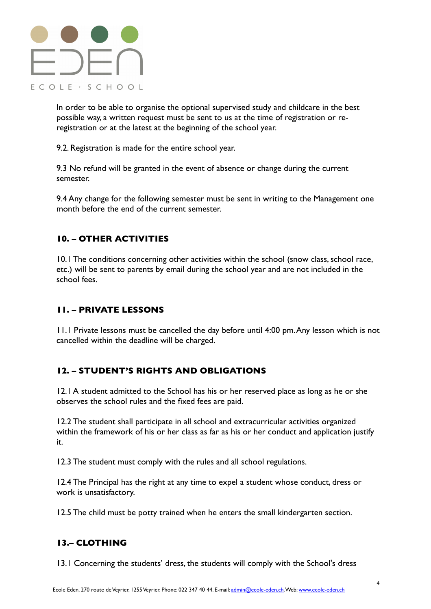# $\Box \Box \Box$ ECOLE · SCHOOL

In order to be able to organise the optional supervised study and childcare in the best possible way, a written request must be sent to us at the time of registration or reregistration or at the latest at the beginning of the school year.

9.2. Registration is made for the entire school year.

9.3 No refund will be granted in the event of absence or change during the current semester.

9.4 Any change for the following semester must be sent in writing to the Management one month before the end of the current semester.

# **10. – OTHER ACTIVITIES**

10.1 The conditions concerning other activities within the school (snow class, school race, etc.) will be sent to parents by email during the school year and are not included in the school fees.

#### **11. – PRIVATE LESSONS**

11.1 Private lessons must be cancelled the day before until 4:00 pm. Any lesson which is not cancelled within the deadline will be charged.

#### **12. – STUDENT'S RIGHTS AND OBLIGATIONS**

12.1 A student admitted to the School has his or her reserved place as long as he or she observes the school rules and the fixed fees are paid.

12.2 The student shall participate in all school and extracurricular activities organized within the framework of his or her class as far as his or her conduct and application justify it.

12.3 The student must comply with the rules and all school regulations.

12.4 The Principal has the right at any time to expel a student whose conduct, dress or work is unsatisfactory.

12.5 The child must be potty trained when he enters the small kindergarten section.

# **13.– CLOTHING**

13.1 Concerning the students' dress, the students will comply with the School's dress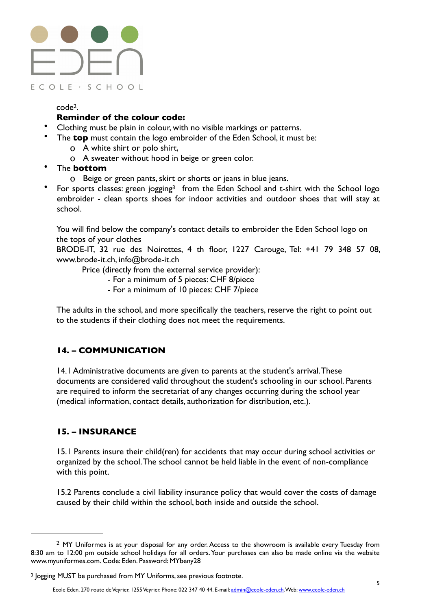# $\exists \sum \Box$ ECOLE · SCHOOL

<span id="page-4-2"></span> $code<sup>2</sup>$  $code<sup>2</sup>$  $code<sup>2</sup>$ [.](#page-4-0)

#### **Reminder of the colour code:**

- Clothing must be plain in colour, with no visible markings or patterns.
	- The **top** must contain the logo embroider of the Eden School, it must be:
		- o A white shirt or polo shirt,
		- o A sweater without hood in beige or green color.
- The **bottom** 
	- o Beige or green pants, skirt or shorts or jeans in blue jeans.
- Forsports classes: green jogging<sup>[3](#page-4-1)</sup> from the Eden School and t-shirt with the School logo embroider - clean sports shoes for indoor activities and outdoor shoes that will stay at school.

You will find below the company's contact details to embroider the Eden School logo on the tops of your clothes

BRODE-IT, 32 rue des Noirettes, 4 th floor, 1227 Carouge, Tel: +41 79 348 57 08, www.brode-it.ch, info@brode-it.ch

Price (directly from the external service provider):

- <span id="page-4-3"></span>- For a minimum of 5 pieces: CHF 8/piece
- For a minimum of 10 pieces: CHF 7/piece

The adults in the school, and more specifically the teachers, reserve the right to point out to the students if their clothing does not meet the requirements.

# **14. – COMMUNICATION**

14.1 Administrative documents are given to parents at the student's arrival. These documents are considered valid throughout the student's schooling in our school. Parents are required to inform the secretariat of any changes occurring during the school year (medical information, contact details, authorization for distribution, etc.).

# **15. – INSURANCE**

15.1 Parents insure their child(ren) for accidents that may occur during school activities or organized by the school. The school cannot be held liable in the event of non-compliance with this point.

15.2 Parents conclude a civil liability insurance policy that would cover the costs of damage caused by their child within the school, both inside and outside the school.

<span id="page-4-0"></span><sup>&</sup>lt;sup>[2](#page-4-2)</sup> MY Uniformes is at your disposal for any order. Access to the showroom is available every Tuesday from 8:30 am to 12:00 pm outside school holidays for all orders. Your purchases can also be made online via the website www.myuniformes.com. Code: Eden. Password: MYbeny28

<span id="page-4-1"></span><sup>&</sup>lt;sup>[3](#page-4-3)</sup> logging MUST be purchased from MY Uniforms, see previous footnote.

Ecole Eden, 270 route de Veyrier, 1255 Veyrier. Phone: 022 347 40 44. E-mail: [admin@ecole-eden.ch.](mailto:admin@ecole-eden.ch) Web: [www.ecole-eden.ch](http://www.ecole-eden.ch)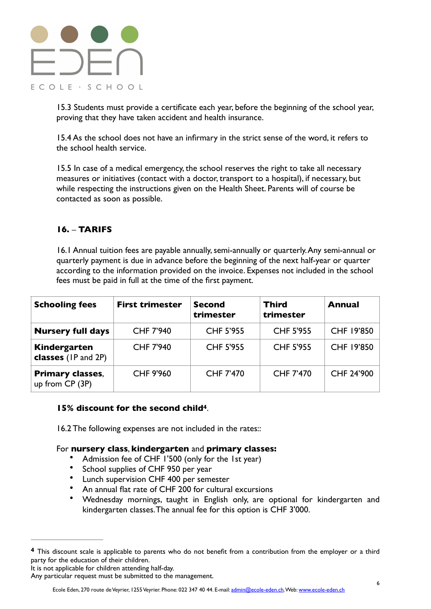

15.3 Students must provide a certificate each year, before the beginning of the school year, proving that they have taken accident and health insurance.

15.4 As the school does not have an infirmary in the strict sense of the word, it refers to the school health service.

15.5 In case of a medical emergency, the school reserves the right to take all necessary measures or initiatives (contact with a doctor, transport to a hospital), if necessary, but while respecting the instructions given on the Health Sheet. Parents will of course be contacted as soon as possible.

# **16. – TARIFS**

16.1 Annual tuition fees are payable annually, semi-annually or quarterly. Any semi-annual or quarterly payment is due in advance before the beginning of the next half-year or quarter according to the information provided on the invoice. Expenses not included in the school fees must be paid in full at the time of the first payment.

| <b>Schooling fees</b>                      | <b>First trimester</b> | <b>Second</b><br>trimester | Third<br>trimester | <b>Annual</b> |
|--------------------------------------------|------------------------|----------------------------|--------------------|---------------|
| <b>Nursery full days</b>                   | <b>CHF 7'940</b>       | <b>CHF 5'955</b>           | <b>CHF 5'955</b>   | CHF 19'850    |
| Kindergarten<br>classes (IP and 2P)        | <b>CHF 7'940</b>       | <b>CHF 5'955</b>           | <b>CHF 5'955</b>   | CHF 19'850    |
| <b>Primary classes,</b><br>up from CP (3P) | <b>CHF 9'960</b>       | <b>CHF 7'470</b>           | <b>CHF 7'470</b>   | CHF 24'900    |

#### **15% discount for the second child<sup>[4](#page-5-0)</sup>.**

16.2 The following expenses are not included in the rates::

#### For **nursery class**, **kindergarten** and **primary classes:**

- <span id="page-5-1"></span>• Admission fee of CHF 1'500 (only for the 1st year)
- School supplies of CHF 950 per year
- Lunch supervision CHF 400 per semester
- An annual flat rate of CHF 200 for cultural excursions
- Wednesday mornings, taught in English only, are optional for kindergarten and kindergarten classes. The annual fee for this option is CHF 3'000.

<span id="page-5-0"></span>This discount scale is applicable to parents who do not benefit from a contribution from the employer or a third **[4](#page-5-1)** party for the education of their children.

It is not applicable for children attending half-day.

Any particular request must be submitted to the management.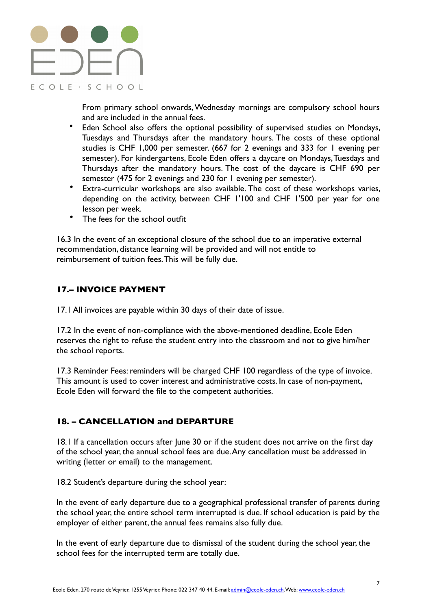

From primary school onwards, Wednesday mornings are compulsory school hours and are included in the annual fees.

- Eden School also offers the optional possibility of supervised studies on Mondays, Tuesdays and Thursdays after the mandatory hours. The costs of these optional studies is CHF 1,000 per semester. (667 for 2 evenings and 333 for 1 evening per semester). For kindergartens, Ecole Eden offers a daycare on Mondays, Tuesdays and Thursdays after the mandatory hours. The cost of the daycare is CHF 690 per semester (475 for 2 evenings and 230 for 1 evening per semester).
- Extra-curricular workshops are also available. The cost of these workshops varies, depending on the activity, between CHF 1'100 and CHF 1'500 per year for one lesson per week.
- The fees for the school outfit

16.3 In the event of an exceptional closure of the school due to an imperative external recommendation, distance learning will be provided and will not entitle to reimbursement of tuition fees. This will be fully due.

#### **17.– INVOICE PAYMENT**

17.1 All invoices are payable within 30 days of their date of issue.

17.2 In the event of non-compliance with the above-mentioned deadline, Ecole Eden reserves the right to refuse the student entry into the classroom and not to give him/her the school reports.

17.3 Reminder Fees: reminders will be charged CHF 100 regardless of the type of invoice. This amount is used to cover interest and administrative costs. In case of non-payment, Ecole Eden will forward the file to the competent authorities.

# **18. – CANCELLATION and DEPARTURE**

18.1 If a cancellation occurs after June 30 or if the student does not arrive on the first day of the school year, the annual school fees are due. Any cancellation must be addressed in writing (letter or email) to the management.

18.2 Student's departure during the school year:

In the event of early departure due to a geographical professional transfer of parents during the school year, the entire school term interrupted is due. If school education is paid by the employer of either parent, the annual fees remains also fully due.

In the event of early departure due to dismissal of the student during the school year, the school fees for the interrupted term are totally due.